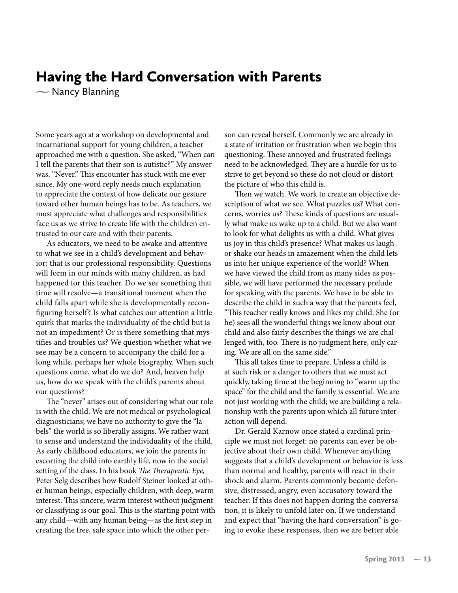## Having the Hard Conversation with Parents

- Nancy Blanning  $\sum_{i=1}^{n}$ 

Some years ago at a workshop on developmental and incarnational support for young children, a teacher approached me with a question. She asked, "When can I tell the parents that their son is autistic?" My answer was, "Never." This encounter has stuck with me ever since. My one-word reply needs much explanation to appreciate the context of how delicate our gesture toward other human beings has to be. As teachers, we must appreciate what challenges and responsibilities face us as we strive to create life with the children entrusted to our care and with their parents.

As educators, we need to be awake and attentive to what we see in a child's development and behavior; that is our professional responsibility. Questions will form in our minds with many children, as had happened for this teacher. Do we see something that time will resolve—a transitional moment when the child falls apart while she is developmentally reconfiguring herself? Is what catches our attention a little quirk that marks the individuality of the child but is not an impediment? Or is there something that mystifies and troubles us? We question whether what we see may be a concern to accompany the child for a long while, perhaps her whole biography. When such questions come, what do we do? And, heaven help us, how do we speak with the child's parents about our questions?

The "never" arises out of considering what our role is with the child. We are not medical or psychological diagnosticians; we have no authority to give the "labels" the world is so liberally assigns. We rather want to sense and understand the individuality of the child. As early childhood educators, we join the parents in escorting the child into earthly life, now in the social setting of the class. In his book The Therapeutic Eye, Peter Selg describes how Rudolf Steiner looked at other human beings, especially children, with deep, warm interest. This sincere, warm interest without judgment or classifying is our goal. This is the starting point with any child—with any human being—as the first step in creating the free, safe space into which the other person can reveal herself. Commonly we are already in a state of irritation or frustration when we begin this questioning. These annoyed and frustrated feelings need to be acknowledged. They are a hurdle for us to strive to get beyond so these do not cloud or distort the picture of who this child is.

Then we watch. We work to create an objective description of what we see. What puzzles us? What concerns, worries us? These kinds of questions are usually what make us wake up to a child. But we also want to look for what delights us with a child. What gives us joy in this child's presence? What makes us laugh or shake our heads in amazement when the child lets us into her unique experience of the world? When we have viewed the child from as many sides as possible, we will have performed the necessary prelude for speaking with the parents. We have to be able to describe the child in such a way that the parents feel, "This teacher really knows and likes my child. She (or he) sees all the wonderful things we know about our child and also fairly describes the things we are challenged with, too. There is no judgment here, only caring. We are all on the same side."

This all takes time to prepare. Unless a child is at such risk or a danger to others that we must act quickly, taking time at the beginning to "warm up the space" for the child and the family is essential. We are not just working with the child; we are building a relationship with the parents upon which all future interaction will depend.

Dr. Gerald Karnow once stated a cardinal principle we must not forget: no parents can ever be objective about their own child. Whenever anything suggests that a child's development or behavior is less than normal and healthy, parents will react in their shock and alarm. Parents commonly become defensive, distressed, angry, even accusatory toward the teacher. If this does not happen during the conversation, it is likely to unfold later on. If we understand and expect that "having the hard conversation" is going to evoke these responses, then we are better able